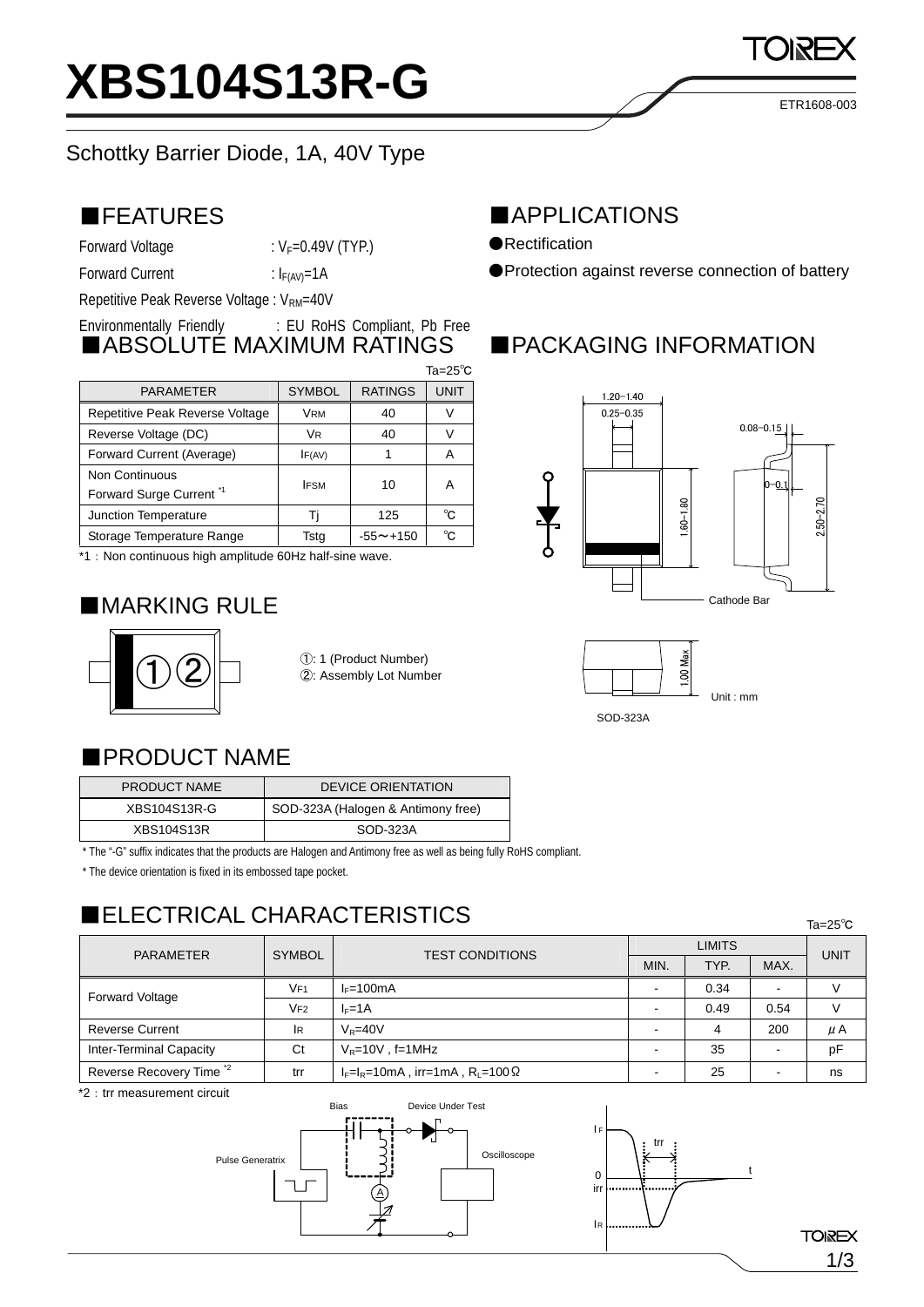### ■FEATURES

Forward Voltage  $: V_F = 0.49V$  (TYP.)

Forward Current :  $I_{F(AV)}=1A$ 

Repetitive Peak Reverse Voltage : V<sub>RM</sub>=40V

#### Environmentally Friendly : EU RoHS Compliant, Pb Free ■ABSOLUTE MAXIMUM RATINGS

|                                     |               |                 | $Ta = 25^\circ C$ |
|-------------------------------------|---------------|-----------------|-------------------|
| <b>PARAMETER</b>                    | <b>SYMBOL</b> | <b>RATINGS</b>  | <b>UNIT</b>       |
| Repetitive Peak Reverse Voltage     | <b>VRM</b>    | 40              |                   |
| Reverse Voltage (DC)                | VR            | 40              |                   |
| Forward Current (Average)           | IF(AV)        |                 | А                 |
| Non Continuous                      | <b>IFSM</b>   | 10              | Α                 |
| Forward Surge Current <sup>*1</sup> |               |                 |                   |
| Junction Temperature                |               | 125             | °C.               |
| Storage Temperature Range           | Tstg          | $-55 \sim +150$ | °C.               |
|                                     |               |                 |                   |

\*1:Non continuous high amplitude 60Hz half-sine wave.

## ■MARKING RULE



### ■APPLICATIONS

●Rectification

●Protection against reverse connection of battery

# ■PACKAGING INFORMATION





### ■PRODUCT NAME

| PRODUCT NAME      | <b>DEVICE ORIENTATION</b>          |  |
|-------------------|------------------------------------|--|
| XBS104S13R-G      | SOD-323A (Halogen & Antimony free) |  |
| <b>XBS104S13R</b> | SOD-323A                           |  |

\* The "-G" suffix indicates that the products are Halogen and Antimony free as well as being fully RoHS compliant.

\* The device orientation is fixed in its embossed tape pocket.

## ■ELECTRICAL CHARACTERISTICS

**LIMITS** PARAMETER SYMBOL TEST CONDITIONS MIN. TYP. MAX. **UNIT**  $\begin{array}{c|c|c|c|c|c|c|c|c} \hline & & & & \hline & & & & \hline \end{array}$  VF1 I<sub>F</sub>=100mA - 0.34 - V<br>VF2 I<sub>F</sub>=1A - 0.49 0.54 V Reverse Current IR  $\sqrt{R}$ =40V - 4 4 200 μA Inter-Terminal Capacity  $\begin{vmatrix} Ct & |V_{R}=10V, f=1MHz \end{vmatrix}$   $\begin{vmatrix} -1 & |V_{R}=10V, f=100V, f=100V \end{vmatrix}$ Reverse Recovery Time  $i^2$  trr  $|_{F=1}$ =10mA , irr=1mA , R<sub>L</sub>=100 $\Omega$   $|$  -  $|$  25  $|$  -  $|$  ns



Ta=25℃

1/3

ETR1608-003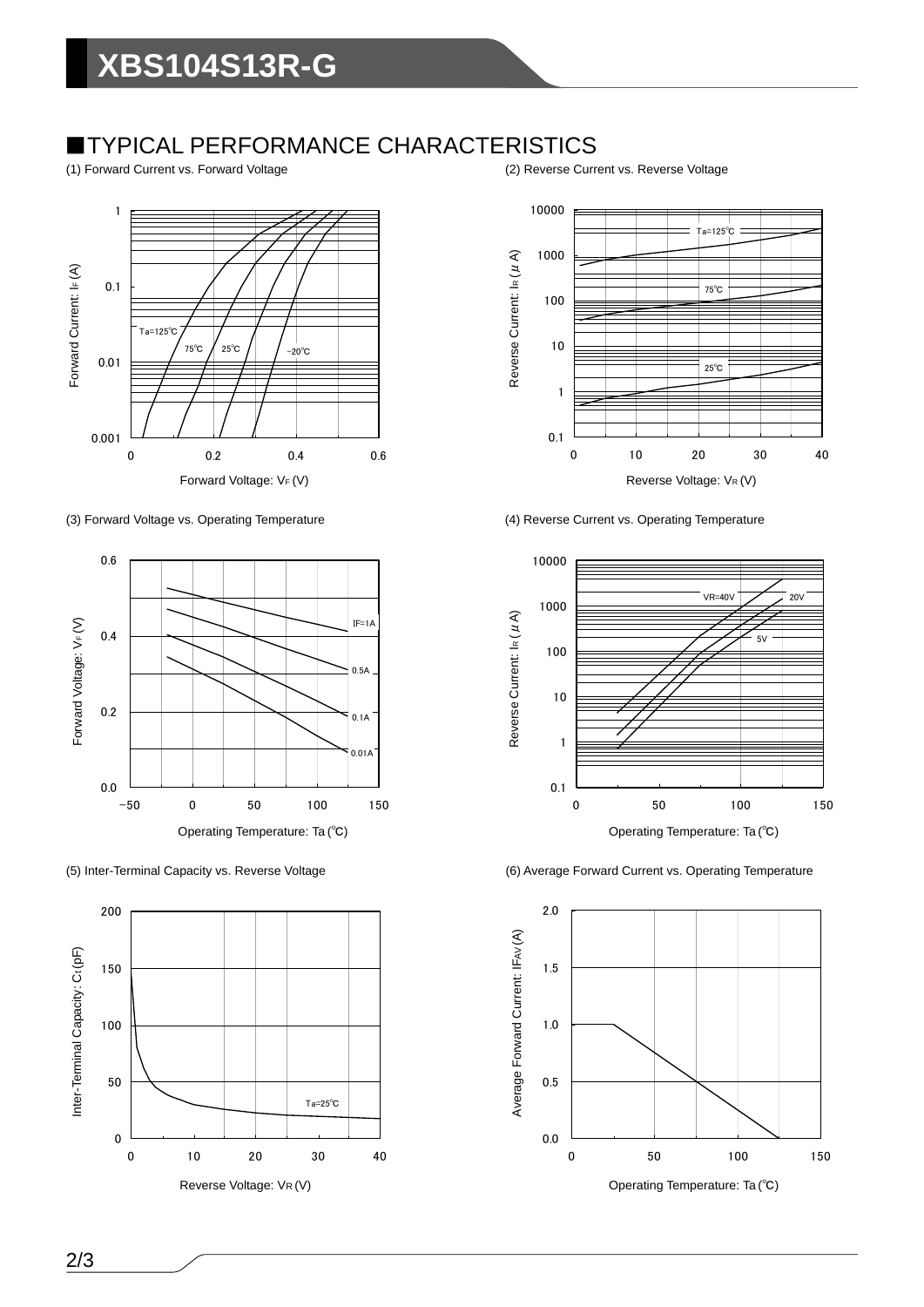### ■TYPICAL PERFORMANCE CHARACTERISTICS

(1) Forward Current vs. Forward Voltage (2) Reverse Current vs. Reverse Voltage



(3) Forward Voltage vs. Operating Temperature (4) Reverse Current vs. Operating Temperature









(5) Inter-Terminal Capacity vs. Reverse Voltage (6) Average Forward Current vs. Operating Temperature